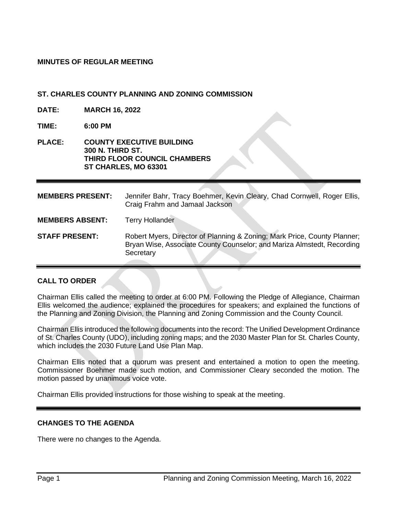## **MINUTES OF REGULAR MEETING**

### **ST. CHARLES COUNTY PLANNING AND ZONING COMMISSION**

- **DATE: MARCH 16, 2022**
- **TIME: 6:00 PM**
- **PLACE: COUNTY EXECUTIVE BUILDING 300 N. THIRD ST. THIRD FLOOR COUNCIL CHAMBERS ST CHARLES, MO 63301**

**MEMBERS PRESENT:** Jennifer Bahr, Tracy Boehmer, Kevin Cleary, Chad Cornwell, Roger Ellis, Craig Frahm and Jamaal Jackson **MEMBERS ABSENT:** Terry Hollander **STAFF PRESENT:** Robert Myers, Director of Planning & Zoning; Mark Price, County Planner; Bryan Wise, Associate County Counselor; and Mariza Almstedt, Recording **Secretary** 

### **CALL TO ORDER**

Chairman Ellis called the meeting to order at 6:00 PM. Following the Pledge of Allegiance, Chairman Ellis welcomed the audience; explained the procedures for speakers; and explained the functions of the Planning and Zoning Division, the Planning and Zoning Commission and the County Council.

Chairman Ellis introduced the following documents into the record: The Unified Development Ordinance of St. Charles County (UDO), including zoning maps; and the 2030 Master Plan for St. Charles County, which includes the 2030 Future Land Use Plan Map.

Chairman Ellis noted that a quorum was present and entertained a motion to open the meeting. Commissioner Boehmer made such motion, and Commissioner Cleary seconded the motion. The motion passed by unanimous voice vote.

Chairman Ellis provided instructions for those wishing to speak at the meeting.

### **CHANGES TO THE AGENDA**

There were no changes to the Agenda.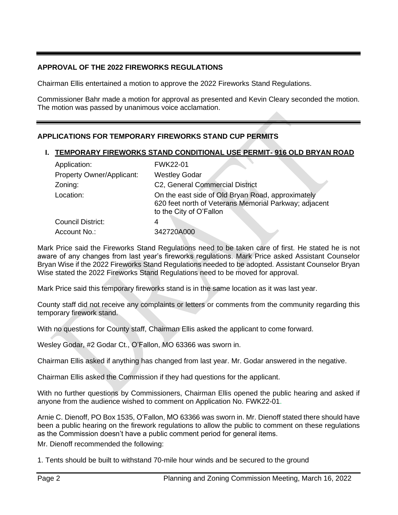# **APPROVAL OF THE 2022 FIREWORKS REGULATIONS**

Chairman Ellis entertained a motion to approve the 2022 Fireworks Stand Regulations.

Commissioner Bahr made a motion for approval as presented and Kevin Cleary seconded the motion. The motion was passed by unanimous voice acclamation.

# **APPLICATIONS FOR TEMPORARY FIREWORKS STAND CUP PERMITS**

## **I. TEMPORARY FIREWORKS STAND CONDITIONAL USE PERMIT- 916 OLD BRYAN ROAD**

| Application:              | <b>FWK22-01</b>                                                                                                                       |
|---------------------------|---------------------------------------------------------------------------------------------------------------------------------------|
| Property Owner/Applicant: | <b>Westley Godar</b>                                                                                                                  |
| Zoning:                   | C2, General Commercial District                                                                                                       |
| Location:                 | On the east side of Old Bryan Road, approximately<br>620 feet north of Veterans Memorial Parkway; adjacent<br>to the City of O'Fallon |
| Council District:         |                                                                                                                                       |
| Account No.:              | 342720A000                                                                                                                            |

Mark Price said the Fireworks Stand Regulations need to be taken care of first. He stated he is not aware of any changes from last year's fireworks regulations. Mark Price asked Assistant Counselor Bryan Wise if the 2022 Fireworks Stand Regulations needed to be adopted. Assistant Counselor Bryan Wise stated the 2022 Fireworks Stand Regulations need to be moved for approval.

Mark Price said this temporary fireworks stand is in the same location as it was last year.

County staff did not receive any complaints or letters or comments from the community regarding this temporary firework stand.

With no questions for County staff, Chairman Ellis asked the applicant to come forward.

Wesley Godar, #2 Godar Ct., O'Fallon, MO 63366 was sworn in.

Chairman Ellis asked if anything has changed from last year. Mr. Godar answered in the negative.

Chairman Ellis asked the Commission if they had questions for the applicant.

With no further questions by Commissioners, Chairman Ellis opened the public hearing and asked if anyone from the audience wished to comment on Application No. FWK22-01.

Arnie C. Dienoff, PO Box 1535, O'Fallon, MO 63366 was sworn in. Mr. Dienoff stated there should have been a public hearing on the firework regulations to allow the public to comment on these regulations as the Commission doesn't have a public comment period for general items. Mr. Dienoff recommended the following:

1. Tents should be built to withstand 70-mile hour winds and be secured to the ground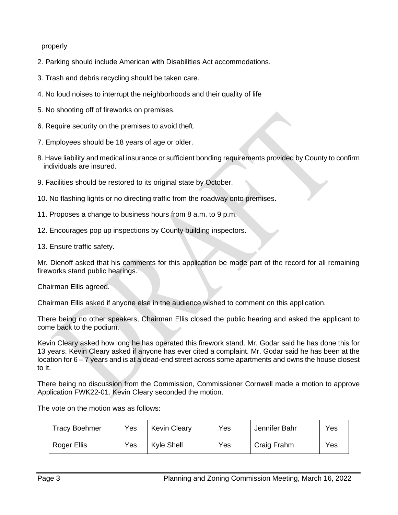properly

- 2. Parking should include American with Disabilities Act accommodations.
- 3. Trash and debris recycling should be taken care.
- 4. No loud noises to interrupt the neighborhoods and their quality of life
- 5. No shooting off of fireworks on premises.
- 6. Require security on the premises to avoid theft.
- 7. Employees should be 18 years of age or older.
- 8. Have liability and medical insurance or sufficient bonding requirements provided by County to confirm individuals are insured.
- 9. Facilities should be restored to its original state by October.
- 10. No flashing lights or no directing traffic from the roadway onto premises.
- 11. Proposes a change to business hours from 8 a.m. to 9 p.m.
- 12. Encourages pop up inspections by County building inspectors.
- 13. Ensure traffic safety.

Mr. Dienoff asked that his comments for this application be made part of the record for all remaining fireworks stand public hearings.

Chairman Ellis agreed.

Chairman Ellis asked if anyone else in the audience wished to comment on this application.

There being no other speakers, Chairman Ellis closed the public hearing and asked the applicant to come back to the podium.

Kevin Cleary asked how long he has operated this firework stand. Mr. Godar said he has done this for 13 years. Kevin Cleary asked if anyone has ever cited a complaint. Mr. Godar said he has been at the location for 6 – 7 years and is at a dead-end street across some apartments and owns the house closest to it.

There being no discussion from the Commission, Commissioner Cornwell made a motion to approve Application FWK22-01. Kevin Cleary seconded the motion.

| <b>Tracy Boehmer</b> | Yes | <b>Kevin Cleary</b> | Yes | Jennifer Bahr | Yes |
|----------------------|-----|---------------------|-----|---------------|-----|
| Roger Ellis          | Yes | Kyle Shell          | Yes | Craig Frahm   | Yes |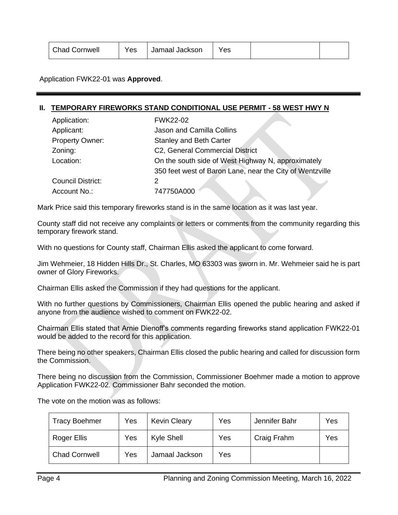| <b>Chad Cornwell</b> |
|----------------------|
|----------------------|

Application FWK22-01 was **Approved**.

#### **II. TEMPORARY FIREWORKS STAND CONDITIONAL USE PERMIT - 58 WEST HWY N**

| Application:             | <b>FWK22-02</b>                                          |  |  |  |
|--------------------------|----------------------------------------------------------|--|--|--|
| Applicant:               | Jason and Camilla Collins                                |  |  |  |
| <b>Property Owner:</b>   | <b>Stanley and Beth Carter</b>                           |  |  |  |
| Zoning:                  | C2, General Commercial District                          |  |  |  |
| Location:                | On the south side of West Highway N, approximately       |  |  |  |
|                          | 350 feet west of Baron Lane, near the City of Wentzville |  |  |  |
| <b>Council District:</b> | 2                                                        |  |  |  |
| Account No.:             | 747750A000                                               |  |  |  |

Mark Price said this temporary fireworks stand is in the same location as it was last year.

County staff did not receive any complaints or letters or comments from the community regarding this temporary firework stand.

With no questions for County staff, Chairman Ellis asked the applicant to come forward.

Jim Wehmeier, 18 Hidden Hills Dr., St. Charles, MO 63303 was sworn in. Mr. Wehmeier said he is part owner of Glory Fireworks.

Chairman Ellis asked the Commission if they had questions for the applicant.

With no further questions by Commissioners, Chairman Ellis opened the public hearing and asked if anyone from the audience wished to comment on FWK22-02.

Chairman Ellis stated that Arnie Dienoff's comments regarding fireworks stand application FWK22-01 would be added to the record for this application.

There being no other speakers, Chairman Ellis closed the public hearing and called for discussion form the Commission.

There being no discussion from the Commission, Commissioner Boehmer made a motion to approve Application FWK22-02. Commissioner Bahr seconded the motion.

| <b>Tracy Boehmer</b> | Yes | <b>Kevin Cleary</b> | Yes | Jennifer Bahr | Yes |
|----------------------|-----|---------------------|-----|---------------|-----|
| Roger Ellis          | Yes | Kyle Shell          | Yes | Craig Frahm   | Yes |
| <b>Chad Cornwell</b> | Yes | Jamaal Jackson      | Yes |               |     |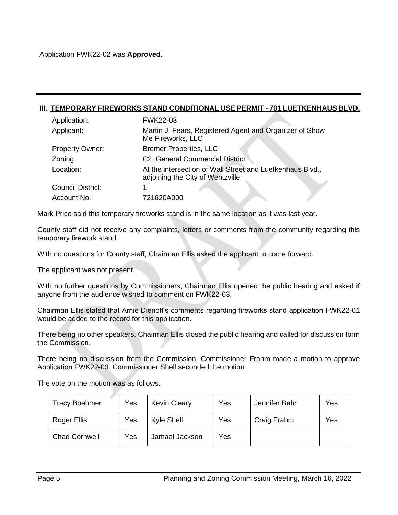#### **III. TEMPORARY FIREWORKS STAND CONDITIONAL USE PERMIT - 701 LUETKENHAUS BLVD.**

| Application:           | <b>FWK22-03</b>                                                                               |
|------------------------|-----------------------------------------------------------------------------------------------|
| Applicant:             | Martin J. Fears, Registered Agent and Organizer of Show<br>Me Fireworks, LLC                  |
| <b>Property Owner:</b> | <b>Bremer Properties, LLC</b>                                                                 |
| Zoning:                | C2, General Commercial District                                                               |
| Location:              | At the intersection of Wall Street and Luetkenhaus Blvd.,<br>adjoining the City of Wentzville |
| Council District:      |                                                                                               |
| Account No.:           | 721620A000                                                                                    |

Mark Price said this temporary fireworks stand is in the same location as it was last year.

County staff did not receive any complaints, letters or comments from the community regarding this temporary firework stand.

With no questions for County staff, Chairman Ellis asked the applicant to come forward.

The applicant was not present.

With no further questions by Commissioners, Chairman Ellis opened the public hearing and asked if anyone from the audience wished to comment on FWK22-03.

Chairman Ellis stated that Arnie Dienoff's comments regarding fireworks stand application FWK22-01 would be added to the record for this application.

There being no other speakers, Chairman Ellis closed the public hearing and called for discussion form the Commission.

There being no discussion from the Commission, Commissioner Frahm made a motion to approve Application FWK22-03. Commissioner Shell seconded the motion

| <b>Tracy Boehmer</b> | Yes | <b>Kevin Cleary</b> | Yes | Jennifer Bahr | Yes |
|----------------------|-----|---------------------|-----|---------------|-----|
| Roger Ellis          | Yes | Kyle Shell          | Yes | Craig Frahm   | Yes |
| <b>Chad Cornwell</b> | Yes | Jamaal Jackson      | Yes |               |     |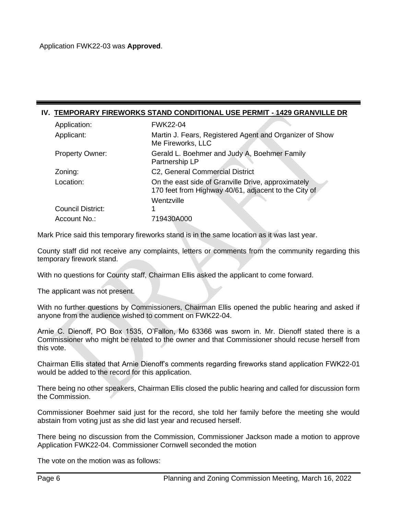## **IV. TEMPORARY FIREWORKS STAND CONDITIONAL USE PERMIT - 1429 GRANVILLE DR**

| Application:             | <b>FWK22-04</b>                                                                                                          |
|--------------------------|--------------------------------------------------------------------------------------------------------------------------|
| Applicant:               | Martin J. Fears, Registered Agent and Organizer of Show<br>Me Fireworks, LLC                                             |
| <b>Property Owner:</b>   | Gerald L. Boehmer and Judy A, Boehmer Family<br>Partnership LP                                                           |
| Zoning:                  | C2, General Commercial District                                                                                          |
| Location:                | On the east side of Granville Drive, approximately<br>170 feet from Highway 40/61, adjacent to the City of<br>Wentzville |
| <b>Council District:</b> |                                                                                                                          |
| Account No.:             | 719430A000                                                                                                               |

Mark Price said this temporary fireworks stand is in the same location as it was last year.

County staff did not receive any complaints, letters or comments from the community regarding this temporary firework stand.

With no questions for County staff, Chairman Ellis asked the applicant to come forward.

The applicant was not present.

With no further questions by Commissioners, Chairman Ellis opened the public hearing and asked if anyone from the audience wished to comment on FWK22-04.

Arnie C. Dienoff, PO Box 1535, O'Fallon, Mo 63366 was sworn in. Mr. Dienoff stated there is a Commissioner who might be related to the owner and that Commissioner should recuse herself from this vote.

Chairman Ellis stated that Arnie Dienoff's comments regarding fireworks stand application FWK22-01 would be added to the record for this application.

There being no other speakers, Chairman Ellis closed the public hearing and called for discussion form the Commission.

Commissioner Boehmer said just for the record, she told her family before the meeting she would abstain from voting just as she did last year and recused herself.

There being no discussion from the Commission, Commissioner Jackson made a motion to approve Application FWK22-04. Commissioner Cornwell seconded the motion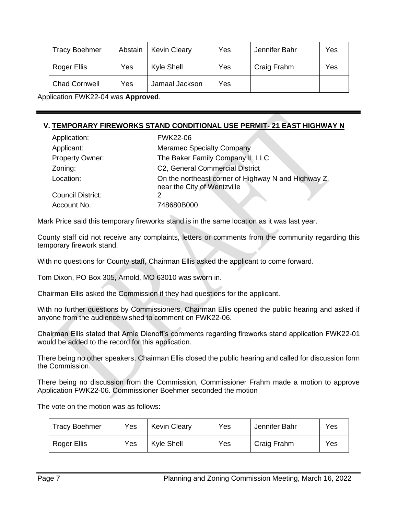| <b>Tracy Boehmer</b> | Abstain | <b>Kevin Cleary</b> | Yes | Jennifer Bahr | Yes |
|----------------------|---------|---------------------|-----|---------------|-----|
| Roger Ellis          | Yes     | <b>Kyle Shell</b>   | Yes | Craig Frahm   | Yes |
| <b>Chad Cornwell</b> | Yes     | Jamaal Jackson      | Yes |               |     |

Application FWK22-04 was **Approved**.

# **V. TEMPORARY FIREWORKS STAND CONDITIONAL USE PERMIT- 21 EAST HIGHWAY N**

| Application:             | <b>FWK22-06</b>                                                                    |
|--------------------------|------------------------------------------------------------------------------------|
| Applicant:               | <b>Meramec Specialty Company</b>                                                   |
| <b>Property Owner:</b>   | The Baker Family Company II, LLC                                                   |
| Zoning:                  | C2, General Commercial District                                                    |
| Location:                | On the northeast corner of Highway N and Highway Z,<br>near the City of Wentzville |
| <b>Council District:</b> |                                                                                    |
| Account No.:             | 748680B000                                                                         |

Mark Price said this temporary fireworks stand is in the same location as it was last year.

County staff did not receive any complaints, letters or comments from the community regarding this temporary firework stand.

With no questions for County staff, Chairman Ellis asked the applicant to come forward.

Tom Dixon, PO Box 305, Arnold, MO 63010 was sworn in.

Chairman Ellis asked the Commission if they had questions for the applicant.

With no further questions by Commissioners, Chairman Ellis opened the public hearing and asked if anyone from the audience wished to comment on FWK22-06.

Chairman Ellis stated that Arnie Dienoff's comments regarding fireworks stand application FWK22-01 would be added to the record for this application.

There being no other speakers, Chairman Ellis closed the public hearing and called for discussion form the Commission.

There being no discussion from the Commission, Commissioner Frahm made a motion to approve Application FWK22-06. Commissioner Boehmer seconded the motion

| <b>Tracy Boehmer</b> | Yes | <b>Kevin Cleary</b> | Yes | Jennifer Bahr | Yes |
|----------------------|-----|---------------------|-----|---------------|-----|
| Roger Ellis          | Yes | Kyle Shell          | Yes | Craig Frahm   | Yes |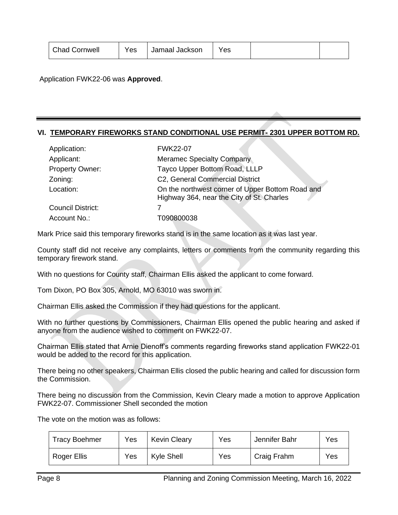| <b>Chad Cornwell</b> | Yes | Jamaal Jackson | Yes |  |  |
|----------------------|-----|----------------|-----|--|--|
|----------------------|-----|----------------|-----|--|--|

Application FWK22-06 was **Approved**.

# **VI. TEMPORARY FIREWORKS STAND CONDITIONAL USE PERMIT- 2301 UPPER BOTTOM RD.**

| Application:             | <b>FWK22-07</b>                                                                               |
|--------------------------|-----------------------------------------------------------------------------------------------|
| Applicant:               | <b>Meramec Specialty Company</b>                                                              |
| <b>Property Owner:</b>   | Tayco Upper Bottom Road, LLLP                                                                 |
| Zoning:                  | C2, General Commercial District                                                               |
| Location:                | On the northwest corner of Upper Bottom Road and<br>Highway 364, near the City of St. Charles |
| <b>Council District:</b> |                                                                                               |
| Account No.:             | T090800038                                                                                    |

Mark Price said this temporary fireworks stand is in the same location as it was last year.

County staff did not receive any complaints, letters or comments from the community regarding this temporary firework stand.

With no questions for County staff, Chairman Ellis asked the applicant to come forward.

Tom Dixon, PO Box 305, Arnold, MO 63010 was sworn in.

Chairman Ellis asked the Commission if they had questions for the applicant.

With no further questions by Commissioners, Chairman Ellis opened the public hearing and asked if anyone from the audience wished to comment on FWK22-07.

Chairman Ellis stated that Arnie Dienoff's comments regarding fireworks stand application FWK22-01 would be added to the record for this application.

There being no other speakers, Chairman Ellis closed the public hearing and called for discussion form the Commission.

There being no discussion from the Commission, Kevin Cleary made a motion to approve Application FWK22-07. Commissioner Shell seconded the motion

| Tracy Boehmer | Yes | <b>Kevin Cleary</b> | Yes | Jennifer Bahr | Yes |
|---------------|-----|---------------------|-----|---------------|-----|
| Roger Ellis   | Yes | Kyle Shell          | Yes | Craig Frahm   | Yes |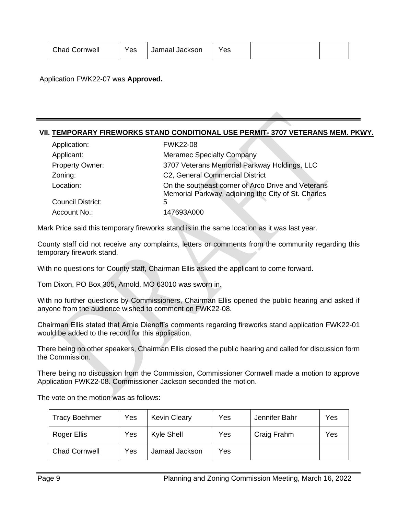| <b>Chad Cornwell</b> | Yes | Jamaal Jackson | Yes |  |  |
|----------------------|-----|----------------|-----|--|--|
|----------------------|-----|----------------|-----|--|--|

Application FWK22-07 was **Approved.**

# **VII. TEMPORARY FIREWORKS STAND CONDITIONAL USE PERMIT- 3707 VETERANS MEM. PKWY.**

| Application:             | <b>FWK22-08</b>                                                                                           |
|--------------------------|-----------------------------------------------------------------------------------------------------------|
| Applicant:               | <b>Meramec Specialty Company</b>                                                                          |
| Property Owner:          | 3707 Veterans Memorial Parkway Holdings, LLC                                                              |
| Zoning:                  | C2, General Commercial District                                                                           |
| Location:                | On the southeast corner of Arco Drive and Veterans<br>Memorial Parkway, adjoining the City of St. Charles |
| <b>Council District:</b> | 5                                                                                                         |
| Account No.:             | 147693A000                                                                                                |

Mark Price said this temporary fireworks stand is in the same location as it was last year.

County staff did not receive any complaints, letters or comments from the community regarding this temporary firework stand.

With no questions for County staff, Chairman Ellis asked the applicant to come forward.

Tom Dixon, PO Box 305, Arnold, MO 63010 was sworn in.

With no further questions by Commissioners, Chairman Ellis opened the public hearing and asked if anyone from the audience wished to comment on FWK22-08.

Chairman Ellis stated that Arnie Dienoff's comments regarding fireworks stand application FWK22-01 would be added to the record for this application.

There being no other speakers, Chairman Ellis closed the public hearing and called for discussion form the Commission.

There being no discussion from the Commission, Commissioner Cornwell made a motion to approve Application FWK22-08. Commissioner Jackson seconded the motion.

| <b>Tracy Boehmer</b> | Yes | <b>Kevin Cleary</b> | Yes | Jennifer Bahr | Yes |
|----------------------|-----|---------------------|-----|---------------|-----|
| Roger Ellis          | Yes | Kyle Shell          | Yes | Craig Frahm   | Yes |
| <b>Chad Cornwell</b> | Yes | Jamaal Jackson      | Yes |               |     |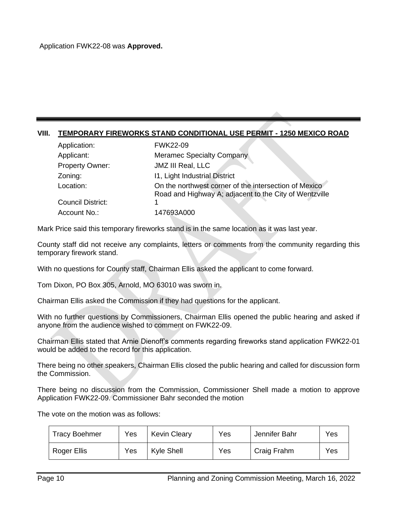## **VIII. TEMPORARY FIREWORKS STAND CONDITIONAL USE PERMIT - 1250 MEXICO ROAD**

| Application:      | <b>FWK22-09</b>                                                                                                 |
|-------------------|-----------------------------------------------------------------------------------------------------------------|
| Applicant:        | <b>Meramec Specialty Company</b>                                                                                |
| Property Owner:   | <b>JMZ III Real, LLC</b>                                                                                        |
| Zoning:           | 11, Light Industrial District                                                                                   |
| Location:         | On the northwest corner of the intersection of Mexico<br>Road and Highway A; adjacent to the City of Wentzville |
| Council District: |                                                                                                                 |
| Account No.:      | 147693A000                                                                                                      |

Mark Price said this temporary fireworks stand is in the same location as it was last year.

County staff did not receive any complaints, letters or comments from the community regarding this temporary firework stand.

With no questions for County staff, Chairman Ellis asked the applicant to come forward.

Tom Dixon, PO Box 305, Arnold, MO 63010 was sworn in.

Chairman Ellis asked the Commission if they had questions for the applicant.

With no further questions by Commissioners, Chairman Ellis opened the public hearing and asked if anyone from the audience wished to comment on FWK22-09.

Chairman Ellis stated that Arnie Dienoff's comments regarding fireworks stand application FWK22-01 would be added to the record for this application.

There being no other speakers, Chairman Ellis closed the public hearing and called for discussion form the Commission.

There being no discussion from the Commission, Commissioner Shell made a motion to approve Application FWK22-09. Commissioner Bahr seconded the motion

| Tracy Boehmer | Yes | <b>Kevin Cleary</b> | Yes | Jennifer Bahr | Yes |
|---------------|-----|---------------------|-----|---------------|-----|
| Roger Ellis   | Yes | Kyle Shell          | Yes | Craig Frahm   | Yes |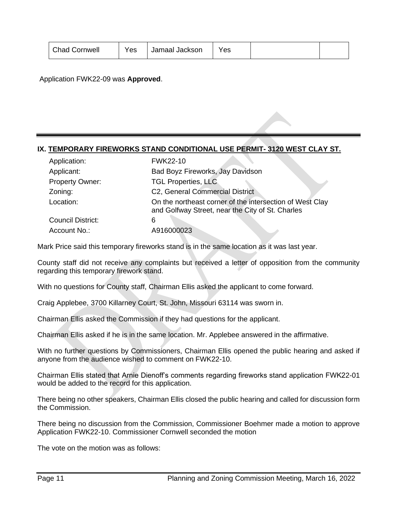| <b>Chad Cornwell</b> | Yes | Jamaal Jackson | Yes |  |  |
|----------------------|-----|----------------|-----|--|--|
|----------------------|-----|----------------|-----|--|--|

Application FWK22-09 was **Approved**.

# **IX. TEMPORARY FIREWORKS STAND CONDITIONAL USE PERMIT- 3120 WEST CLAY ST.**

| Application:             | <b>FWK22-10</b>                                                                                              |
|--------------------------|--------------------------------------------------------------------------------------------------------------|
| Applicant:               | Bad Boyz Fireworks, Jay Davidson                                                                             |
| <b>Property Owner:</b>   | <b>TGL Properties, LLC</b>                                                                                   |
| Zoning:                  | C2, General Commercial District                                                                              |
| Location:                | On the northeast corner of the intersection of West Clay<br>and Golfway Street, near the City of St. Charles |
| <b>Council District:</b> | 6                                                                                                            |
| Account No.:             | A916000023                                                                                                   |

Mark Price said this temporary fireworks stand is in the same location as it was last year.

County staff did not receive any complaints but received a letter of opposition from the community regarding this temporary firework stand.

With no questions for County staff, Chairman Ellis asked the applicant to come forward.

Craig Applebee, 3700 Killarney Court, St. John, Missouri 63114 was sworn in.

Chairman Ellis asked the Commission if they had questions for the applicant.

Chairman Ellis asked if he is in the same location. Mr. Applebee answered in the affirmative.

With no further questions by Commissioners, Chairman Ellis opened the public hearing and asked if anyone from the audience wished to comment on FWK22-10.

Chairman Ellis stated that Arnie Dienoff's comments regarding fireworks stand application FWK22-01 would be added to the record for this application.

There being no other speakers, Chairman Ellis closed the public hearing and called for discussion form the Commission.

There being no discussion from the Commission, Commissioner Boehmer made a motion to approve Application FWK22-10. Commissioner Cornwell seconded the motion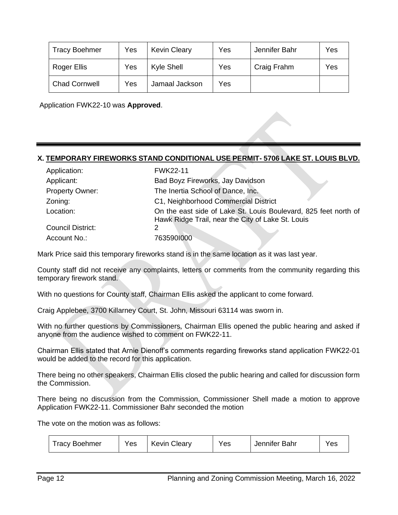| <b>Tracy Boehmer</b> | Yes | <b>Kevin Cleary</b> | Yes | Jennifer Bahr | Yes |
|----------------------|-----|---------------------|-----|---------------|-----|
| Roger Ellis          | Yes | Kyle Shell          | Yes | Craig Frahm   | Yes |
| <b>Chad Cornwell</b> | Yes | Jamaal Jackson      | Yes |               |     |

Application FWK22-10 was **Approved**.

## **X. TEMPORARY FIREWORKS STAND CONDITIONAL USE PERMIT- 5706 LAKE ST. LOUIS BLVD.**

| Application:           | <b>FWK22-11</b>                                                                                                      |
|------------------------|----------------------------------------------------------------------------------------------------------------------|
| Applicant:             | Bad Boyz Fireworks, Jay Davidson                                                                                     |
| <b>Property Owner:</b> | The Inertia School of Dance, Inc.                                                                                    |
| Zoning:                | C1, Neighborhood Commercial District                                                                                 |
| Location:              | On the east side of Lake St. Louis Boulevard, 825 feet north of<br>Hawk Ridge Trail, near the City of Lake St. Louis |
| Council District:      | 2                                                                                                                    |
| Account No.:           | 7635901000                                                                                                           |

Mark Price said this temporary fireworks stand is in the same location as it was last year.

County staff did not receive any complaints, letters or comments from the community regarding this temporary firework stand.

With no questions for County staff, Chairman Ellis asked the applicant to come forward.

Craig Applebee, 3700 Killarney Court, St. John, Missouri 63114 was sworn in.

With no further questions by Commissioners, Chairman Ellis opened the public hearing and asked if anyone from the audience wished to comment on FWK22-11.

Chairman Ellis stated that Arnie Dienoff's comments regarding fireworks stand application FWK22-01 would be added to the record for this application.

There being no other speakers, Chairman Ellis closed the public hearing and called for discussion form the Commission.

There being no discussion from the Commission, Commissioner Shell made a motion to approve Application FWK22-11. Commissioner Bahr seconded the motion

| <b>Tracy Boehmer</b> | Yes | <b>Kevin Cleary</b> | Yes | Jennifer Bahr | Yes |  |
|----------------------|-----|---------------------|-----|---------------|-----|--|
|----------------------|-----|---------------------|-----|---------------|-----|--|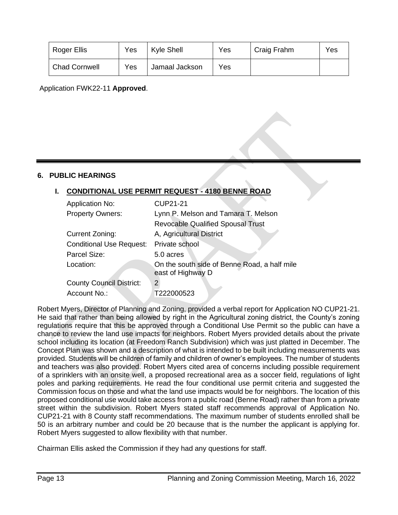| Roger Ellis          | Yes | Kyle Shell     | Yes | Craig Frahm | Yes |
|----------------------|-----|----------------|-----|-------------|-----|
| <b>Chad Cornwell</b> | Yes | Jamaal Jackson | Yes |             |     |

Application FWK22-11 **Approved**.

## **6. PUBLIC HEARINGS**

# **I. CONDITIONAL USE PERMIT REQUEST - 4180 BENNE ROAD**

| <b>Application No:</b>          | <b>CUP21-21</b>                                                   |
|---------------------------------|-------------------------------------------------------------------|
| <b>Property Owners:</b>         | Lynn P. Melson and Tamara T. Melson                               |
|                                 | <b>Revocable Qualified Spousal Trust</b>                          |
| Current Zoning:                 | A, Agricultural District                                          |
| <b>Conditional Use Request:</b> | Private school                                                    |
| Parcel Size:                    | 5.0 acres                                                         |
| Location:                       | On the south side of Benne Road, a half mile<br>east of Highway D |
| <b>County Council District:</b> | $\overline{2}$                                                    |
| Account No.:                    | T222000523                                                        |

Robert Myers, Director of Planning and Zoning, provided a verbal report for Application NO CUP21-21. He said that rather than being allowed by right in the Agricultural zoning district, the County's zoning regulations require that this be approved through a Conditional Use Permit so the public can have a chance to review the land use impacts for neighbors. Robert Myers provided details about the private school including its location (at Freedom Ranch Subdivision) which was just platted in December. The Concept Plan was shown and a description of what is intended to be built including measurements was provided. Students will be children of family and children of owner's employees. The number of students and teachers was also provided. Robert Myers cited area of concerns including possible requirement of a sprinklers with an onsite well, a proposed recreational area as a soccer field, regulations of light poles and parking requirements. He read the four conditional use permit criteria and suggested the Commission focus on those and what the land use impacts would be for neighbors. The location of this proposed conditional use would take access from a public road (Benne Road) rather than from a private street within the subdivision. Robert Myers stated staff recommends approval of Application No. CUP21-21 with 8 County staff recommendations. The maximum number of students enrolled shall be 50 is an arbitrary number and could be 20 because that is the number the applicant is applying for. Robert Myers suggested to allow flexibility with that number.

Chairman Ellis asked the Commission if they had any questions for staff.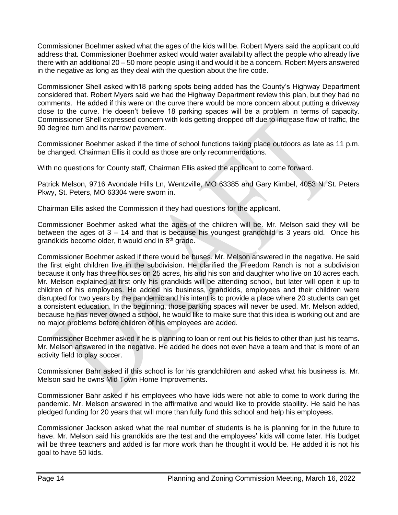Commissioner Boehmer asked what the ages of the kids will be. Robert Myers said the applicant could address that. Commissioner Boehmer asked would water availability affect the people who already live there with an additional 20 – 50 more people using it and would it be a concern. Robert Myers answered in the negative as long as they deal with the question about the fire code.

Commissioner Shell asked with18 parking spots being added has the County's Highway Department considered that. Robert Myers said we had the Highway Department review this plan, but they had no comments. He added if this were on the curve there would be more concern about putting a driveway close to the curve. He doesn't believe 18 parking spaces will be a problem in terms of capacity. Commissioner Shell expressed concern with kids getting dropped off due to increase flow of traffic, the 90 degree turn and its narrow pavement.

Commissioner Boehmer asked if the time of school functions taking place outdoors as late as 11 p.m. be changed. Chairman Ellis it could as those are only recommendations.

With no questions for County staff, Chairman Ellis asked the applicant to come forward.

Patrick Melson, 9716 Avondale Hills Ln, Wentzville, MO 63385 and Gary Kimbel, 4053 N. St. Peters Pkwy, St. Peters, MO 63304 were sworn in.

Chairman Ellis asked the Commission if they had questions for the applicant.

Commissioner Boehmer asked what the ages of the children will be. Mr. Melson said they will be between the ages of 3 – 14 and that is because his youngest grandchild is 3 years old. Once his grandkids become older, it would end in  $8<sup>th</sup>$  grade.

Commissioner Boehmer asked if there would be buses. Mr. Melson answered in the negative. He said the first eight children live in the subdivision. He clarified the Freedom Ranch is not a subdivision because it only has three houses on 25 acres, his and his son and daughter who live on 10 acres each. Mr. Melson explained at first only his grandkids will be attending school, but later will open it up to children of his employees. He added his business, grandkids, employees and their children were disrupted for two years by the pandemic and his intent is to provide a place where 20 students can get a consistent education. In the beginning, those parking spaces will never be used. Mr. Melson added, because he has never owned a school, he would like to make sure that this idea is working out and are no major problems before children of his employees are added.

Commissioner Boehmer asked if he is planning to loan or rent out his fields to other than just his teams. Mr. Melson answered in the negative. He added he does not even have a team and that is more of an activity field to play soccer.

Commissioner Bahr asked if this school is for his grandchildren and asked what his business is. Mr. Melson said he owns Mid Town Home Improvements.

Commissioner Bahr asked if his employees who have kids were not able to come to work during the pandemic. Mr. Melson answered in the affirmative and would like to provide stability. He said he has pledged funding for 20 years that will more than fully fund this school and help his employees.

Commissioner Jackson asked what the real number of students is he is planning for in the future to have. Mr. Melson said his grandkids are the test and the employees' kids will come later. His budget will be three teachers and added is far more work than he thought it would be. He added it is not his goal to have 50 kids.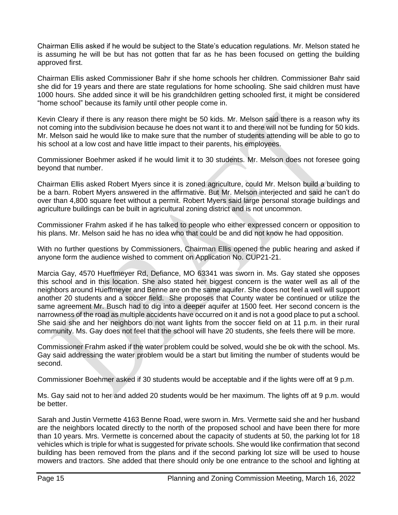Chairman Ellis asked if he would be subject to the State's education regulations. Mr. Melson stated he is assuming he will be but has not gotten that far as he has been focused on getting the building approved first.

Chairman Ellis asked Commissioner Bahr if she home schools her children. Commissioner Bahr said she did for 19 years and there are state regulations for home schooling. She said children must have 1000 hours. She added since it will be his grandchildren getting schooled first, it might be considered "home school" because its family until other people come in.

Kevin Cleary if there is any reason there might be 50 kids. Mr. Melson said there is a reason why its not coming into the subdivision because he does not want it to and there will not be funding for 50 kids. Mr. Melson said he would like to make sure that the number of students attending will be able to go to his school at a low cost and have little impact to their parents, his employees.

Commissioner Boehmer asked if he would limit it to 30 students. Mr. Melson does not foresee going beyond that number.

Chairman Ellis asked Robert Myers since it is zoned agriculture, could Mr. Melson build a building to be a barn. Robert Myers answered in the affirmative. But Mr. Melson interjected and said he can't do over than 4,800 square feet without a permit. Robert Myers said large personal storage buildings and agriculture buildings can be built in agricultural zoning district and is not uncommon.

Commissioner Frahm asked if he has talked to people who either expressed concern or opposition to his plans. Mr. Melson said he has no idea who that could be and did not know he had opposition.

With no further questions by Commissioners, Chairman Ellis opened the public hearing and asked if anyone form the audience wished to comment on Application No. CUP21-21.

Marcia Gay, 4570 Hueffmeyer Rd, Defiance, MO 63341 was sworn in. Ms. Gay stated she opposes this school and in this location. She also stated her biggest concern is the water well as all of the neighbors around Hueffmeyer and Benne are on the same aquifer. She does not feel a well will support another 20 students and a soccer field. She proposes that County water be continued or utilize the same agreement Mr. Busch had to dig into a deeper aquifer at 1500 feet. Her second concern is the narrowness of the road as multiple accidents have occurred on it and is not a good place to put a school. She said she and her neighbors do not want lights from the soccer field on at 11 p.m. in their rural community. Ms. Gay does not feel that the school will have 20 students, she feels there will be more.

Commissioner Frahm asked if the water problem could be solved, would she be ok with the school. Ms. Gay said addressing the water problem would be a start but limiting the number of students would be second.

Commissioner Boehmer asked if 30 students would be acceptable and if the lights were off at 9 p.m.

Ms. Gay said not to her and added 20 students would be her maximum. The lights off at 9 p.m. would be better.

Sarah and Justin Vermette 4163 Benne Road, were sworn in. Mrs. Vermette said she and her husband are the neighbors located directly to the north of the proposed school and have been there for more than 10 years. Mrs. Vermette is concerned about the capacity of students at 50, the parking lot for 18 vehicles which is triple for what is suggested for private schools. She would like confirmation that second building has been removed from the plans and if the second parking lot size will be used to house mowers and tractors. She added that there should only be one entrance to the school and lighting at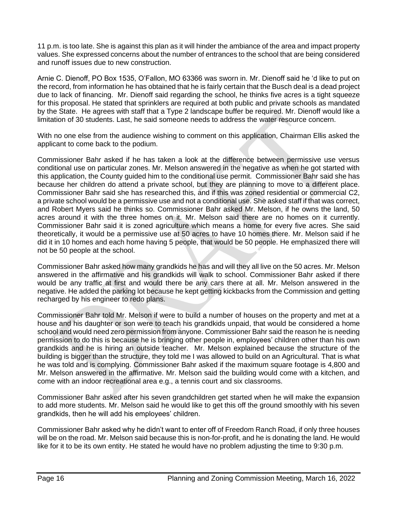11 p.m. is too late. She is against this plan as it will hinder the ambiance of the area and impact property values. She expressed concerns about the number of entrances to the school that are being considered and runoff issues due to new construction.

Arnie C. Dienoff, PO Box 1535, O'Fallon, MO 63366 was sworn in. Mr. Dienoff said he 'd like to put on the record, from information he has obtained that he is fairly certain that the Busch deal is a dead project due to lack of financing. Mr. Dienoff said regarding the school, he thinks five acres is a tight squeeze for this proposal. He stated that sprinklers are required at both public and private schools as mandated by the State. He agrees with staff that a Type 2 landscape buffer be required. Mr. Dienoff would like a limitation of 30 students. Last, he said someone needs to address the water resource concern.

With no one else from the audience wishing to comment on this application, Chairman Ellis asked the applicant to come back to the podium.

Commissioner Bahr asked if he has taken a look at the difference between permissive use versus conditional use on particular zones. Mr. Melson answered in the negative as when he got started with this application, the County guided him to the conditional use permit. Commissioner Bahr said she has because her children do attend a private school, but they are planning to move to a different place. Commissioner Bahr said she has researched this, and if this was zoned residential or commercial C2, a private school would be a permissive use and not a conditional use. She asked staff if that was correct, and Robert Myers said he thinks so. Commissioner Bahr asked Mr. Melson, if he owns the land, 50 acres around it with the three homes on it. Mr. Melson said there are no homes on it currently. Commissioner Bahr said it is zoned agriculture which means a home for every five acres. She said theoretically, it would be a permissive use at 50 acres to have 10 homes there. Mr. Melson said if he did it in 10 homes and each home having 5 people, that would be 50 people. He emphasized there will not be 50 people at the school.

Commissioner Bahr asked how many grandkids he has and will they all live on the 50 acres. Mr. Melson answered in the affirmative and his grandkids will walk to school. Commissioner Bahr asked if there would be any traffic at first and would there be any cars there at all. Mr. Melson answered in the negative. He added the parking lot because he kept getting kickbacks from the Commission and getting recharged by his engineer to redo plans.

Commissioner Bahr told Mr. Melson if were to build a number of houses on the property and met at a house and his daughter or son were to teach his grandkids unpaid, that would be considered a home school and would need zero permission from anyone. Commissioner Bahr said the reason he is needing permission to do this is because he is bringing other people in, employees' children other than his own grandkids and he is hiring an outside teacher. Mr. Melson explained because the structure of the building is bigger than the structure, they told me I was allowed to build on an Agricultural. That is what he was told and is complying. Commissioner Bahr asked if the maximum square footage is 4,800 and Mr. Melson answered in the affirmative. Mr. Melson said the building would come with a kitchen, and come with an indoor recreational area e.g., a tennis court and six classrooms.

Commissioner Bahr asked after his seven grandchildren get started when he will make the expansion to add more students. Mr. Melson said he would like to get this off the ground smoothly with his seven grandkids, then he will add his employees' children.

Commissioner Bahr asked why he didn't want to enter off of Freedom Ranch Road, if only three houses will be on the road. Mr. Melson said because this is non-for-profit, and he is donating the land. He would like for it to be its own entity. He stated he would have no problem adjusting the time to 9:30 p.m.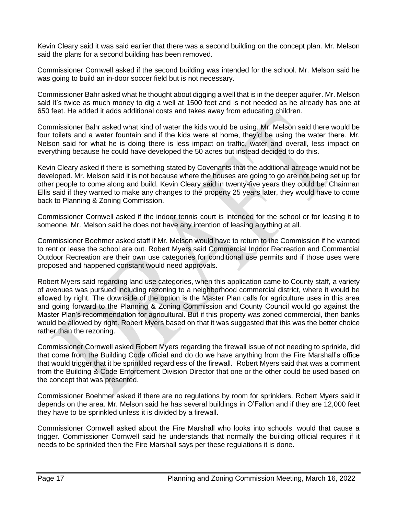Kevin Cleary said it was said earlier that there was a second building on the concept plan. Mr. Melson said the plans for a second building has been removed.

Commissioner Cornwell asked if the second building was intended for the school. Mr. Melson said he was going to build an in-door soccer field but is not necessary.

Commissioner Bahr asked what he thought about digging a well that is in the deeper aquifer. Mr. Melson said it's twice as much money to dig a well at 1500 feet and is not needed as he already has one at 650 feet. He added it adds additional costs and takes away from educating children.

Commissioner Bahr asked what kind of water the kids would be using. Mr. Melson said there would be four toilets and a water fountain and if the kids were at home, they'd be using the water there. Mr. Nelson said for what he is doing there is less impact on traffic, water and overall, less impact on everything because he could have developed the 50 acres but instead decided to do this.

Kevin Cleary asked if there is something stated by Covenants that the additional acreage would not be developed. Mr. Melson said it is not because where the houses are going to go are not being set up for other people to come along and build. Kevin Cleary said in twenty-five years they could be. Chairman Ellis said if they wanted to make any changes to the property 25 years later, they would have to come back to Planning & Zoning Commission.

Commissioner Cornwell asked if the indoor tennis court is intended for the school or for leasing it to someone. Mr. Melson said he does not have any intention of leasing anything at all.

Commissioner Boehmer asked staff if Mr. Melson would have to return to the Commission if he wanted to rent or lease the school are out. Robert Myers said Commercial Indoor Recreation and Commercial Outdoor Recreation are their own use categories for conditional use permits and if those uses were proposed and happened constant would need approvals.

Robert Myers said regarding land use categories, when this application came to County staff, a variety of avenues was pursued including rezoning to a neighborhood commercial district, where it would be allowed by right. The downside of the option is the Master Plan calls for agriculture uses in this area and going forward to the Planning & Zoning Commission and County Council would go against the Master Plan's recommendation for agricultural. But if this property was zoned commercial, then banks would be allowed by right. Robert Myers based on that it was suggested that this was the better choice rather than the rezoning.

Commissioner Cornwell asked Robert Myers regarding the firewall issue of not needing to sprinkle, did that come from the Building Code official and do do we have anything from the Fire Marshall's office that would trigger that it be sprinkled regardless of the firewall. Robert Myers said that was a comment from the Building & Code Enforcement Division Director that one or the other could be used based on the concept that was presented.

Commissioner Boehmer asked if there are no regulations by room for sprinklers. Robert Myers said it depends on the area. Mr. Melson said he has several buildings in O'Fallon and if they are 12,000 feet they have to be sprinkled unless it is divided by a firewall.

Commissioner Cornwell asked about the Fire Marshall who looks into schools, would that cause a trigger. Commissioner Cornwell said he understands that normally the building official requires if it needs to be sprinkled then the Fire Marshall says per these regulations it is done.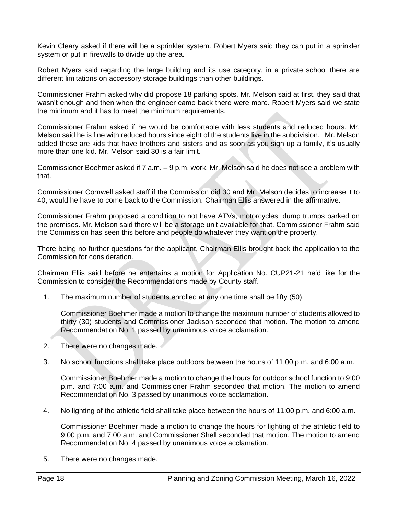Kevin Cleary asked if there will be a sprinkler system. Robert Myers said they can put in a sprinkler system or put in firewalls to divide up the area.

Robert Myers said regarding the large building and its use category, in a private school there are different limitations on accessory storage buildings than other buildings.

Commissioner Frahm asked why did propose 18 parking spots. Mr. Melson said at first, they said that wasn't enough and then when the engineer came back there were more. Robert Myers said we state the minimum and it has to meet the minimum requirements.

Commissioner Frahm asked if he would be comfortable with less students and reduced hours. Mr. Melson said he is fine with reduced hours since eight of the students live in the subdivision. Mr. Melson added these are kids that have brothers and sisters and as soon as you sign up a family, it's usually more than one kid. Mr. Melson said 30 is a fair limit.

Commissioner Boehmer asked if 7 a.m. – 9 p.m. work. Mr. Melson said he does not see a problem with that.

Commissioner Cornwell asked staff if the Commission did 30 and Mr. Melson decides to increase it to 40, would he have to come back to the Commission. Chairman Ellis answered in the affirmative.

Commissioner Frahm proposed a condition to not have ATVs, motorcycles, dump trumps parked on the premises. Mr. Melson said there will be a storage unit available for that. Commissioner Frahm said the Commission has seen this before and people do whatever they want on the property.

There being no further questions for the applicant, Chairman Ellis brought back the application to the Commission for consideration.

Chairman Ellis said before he entertains a motion for Application No. CUP21-21 he'd like for the Commission to consider the Recommendations made by County staff.

1. The maximum number of students enrolled at any one time shall be fifty (50).

Commissioner Boehmer made a motion to change the maximum number of students allowed to thirty (30) students and Commissioner Jackson seconded that motion. The motion to amend Recommendation No. 1 passed by unanimous voice acclamation.

- 2. There were no changes made.
- 3. No school functions shall take place outdoors between the hours of 11:00 p.m. and 6:00 a.m.

Commissioner Boehmer made a motion to change the hours for outdoor school function to 9:00 p.m. and 7:00 a.m. and Commissioner Frahm seconded that motion. The motion to amend Recommendation No. 3 passed by unanimous voice acclamation.

4. No lighting of the athletic field shall take place between the hours of 11:00 p.m. and 6:00 a.m.

Commissioner Boehmer made a motion to change the hours for lighting of the athletic field to 9:00 p.m. and 7:00 a.m. and Commissioner Shell seconded that motion. The motion to amend Recommendation No. 4 passed by unanimous voice acclamation.

5. There were no changes made.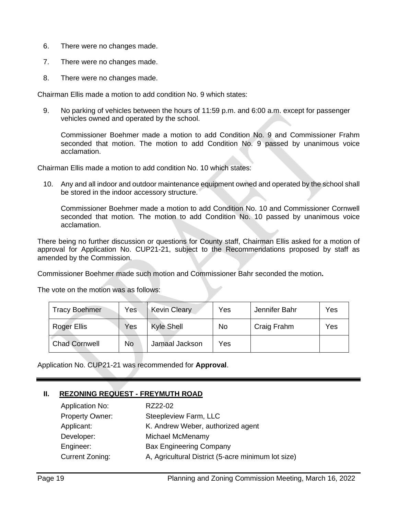- 6. There were no changes made.
- 7. There were no changes made.
- 8. There were no changes made.

Chairman Ellis made a motion to add condition No. 9 which states:

9. No parking of vehicles between the hours of 11:59 p.m. and 6:00 a.m. except for passenger vehicles owned and operated by the school.

Commissioner Boehmer made a motion to add Condition No. 9 and Commissioner Frahm seconded that motion. The motion to add Condition No. 9 passed by unanimous voice acclamation.

Chairman Ellis made a motion to add condition No. 10 which states:

10. Any and all indoor and outdoor maintenance equipment owned and operated by the school shall be stored in the indoor accessory structure.

Commissioner Boehmer made a motion to add Condition No. 10 and Commissioner Cornwell seconded that motion. The motion to add Condition No. 10 passed by unanimous voice acclamation.

There being no further discussion or questions for County staff, Chairman Ellis asked for a motion of approval for Application No. CUP21-21, subject to the Recommendations proposed by staff as amended by the Commission.

Commissioner Boehmer made such motion and Commissioner Bahr seconded the motion**.**

The vote on the motion was as follows:

| <b>Tracy Boehmer</b> | Yes | <b>Kevin Cleary</b> | Yes | Jennifer Bahr | Yes |
|----------------------|-----|---------------------|-----|---------------|-----|
| <b>Roger Ellis</b>   | Yes | <b>Kyle Shell</b>   | No  | Craig Frahm   | Yes |
| <b>Chad Cornwell</b> | No  | Jamaal Jackson      | Yes |               |     |

Application No. CUP21-21 was recommended for **Approval**.

# **II. REZONING REQUEST - FREYMUTH ROAD**

| <b>Application No:</b> | RZ22-02                                            |
|------------------------|----------------------------------------------------|
| Property Owner:        | Steepleview Farm, LLC                              |
| Applicant:             | K. Andrew Weber, authorized agent                  |
| Developer:             | Michael McMenamy                                   |
| Engineer:              | <b>Bax Engineering Company</b>                     |
| <b>Current Zoning:</b> | A, Agricultural District (5-acre minimum lot size) |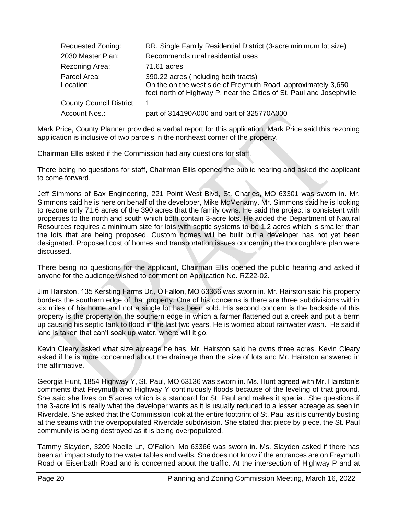| <b>Requested Zoning:</b>        | RR, Single Family Residential District (3-acre minimum lot size)                                                                                                              |
|---------------------------------|-------------------------------------------------------------------------------------------------------------------------------------------------------------------------------|
| 2030 Master Plan:               | Recommends rural residential uses                                                                                                                                             |
| Rezoning Area:                  | 71.61 acres                                                                                                                                                                   |
| Parcel Area:<br>Location:       | 390.22 acres (including both tracts)<br>On the on the west side of Freymuth Road, approximately 3,650<br>feet north of Highway P, near the Cities of St. Paul and Josephville |
| <b>County Council District:</b> | 1                                                                                                                                                                             |
| Account Nos.:                   | part of 314190A000 and part of 325770A000                                                                                                                                     |

Mark Price, County Planner provided a verbal report for this application. Mark Price said this rezoning application is inclusive of two parcels in the northeast corner of the property.

Chairman Ellis asked if the Commission had any questions for staff.

There being no questions for staff, Chairman Ellis opened the public hearing and asked the applicant to come forward.

Jeff Simmons of Bax Engineering, 221 Point West Blvd, St. Charles, MO 63301 was sworn in. Mr. Simmons said he is here on behalf of the developer, Mike McMenamy. Mr. Simmons said he is looking to rezone only 71.6 acres of the 390 acres that the family owns. He said the project is consistent with properties to the north and south which both contain 3-acre lots. He added the Department of Natural Resources requires a minimum size for lots with septic systems to be 1.2 acres which is smaller than the lots that are being proposed. Custom homes will be built but a developer has not yet been designated. Proposed cost of homes and transportation issues concerning the thoroughfare plan were discussed.

There being no questions for the applicant, Chairman Ellis opened the public hearing and asked if anyone for the audience wished to comment on Application No. RZ22-02.

Jim Hairston, 135 Kersting Farms Dr., O'Fallon, MO 63366 was sworn in. Mr. Hairston said his property borders the southern edge of that property. One of his concerns is there are three subdivisions within six miles of his home and not a single lot has been sold. His second concern is the backside of this property is the property on the southern edge in which a farmer flattened out a creek and put a berm up causing his septic tank to flood in the last two years. He is worried about rainwater wash. He said if land is taken that can't soak up water, where will it go.

Kevin Cleary asked what size acreage he has. Mr. Hairston said he owns three acres. Kevin Cleary asked if he is more concerned about the drainage than the size of lots and Mr. Hairston answered in the affirmative.

Georgia Hunt, 1854 Highway Y, St. Paul, MO 63136 was sworn in. Ms. Hunt agreed with Mr. Hairston's comments that Freymuth and Highway Y continuously floods because of the leveling of that ground. She said she lives on 5 acres which is a standard for St. Paul and makes it special. She questions if the 3-acre lot is really what the developer wants as it is usually reduced to a lesser acreage as seen in Riverdale. She asked that the Commission look at the entire footprint of St. Paul as it is currently busting at the seams with the overpopulated Riverdale subdivision. She stated that piece by piece, the St. Paul community is being destroyed as it is being overpopulated.

Tammy Slayden, 3209 Noelle Ln, O'Fallon, Mo 63366 was sworn in. Ms. Slayden asked if there has been an impact study to the water tables and wells. She does not know if the entrances are on Freymuth Road or Eisenbath Road and is concerned about the traffic. At the intersection of Highway P and at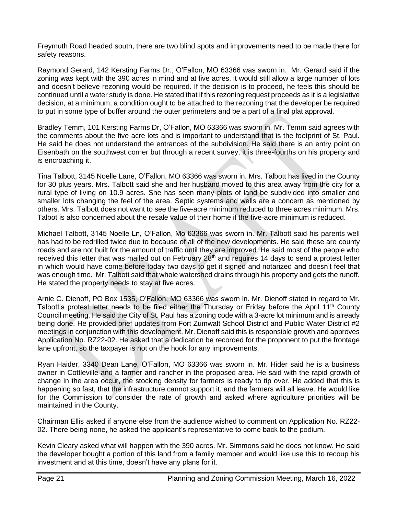Freymuth Road headed south, there are two blind spots and improvements need to be made there for safety reasons.

Raymond Gerard, 142 Kersting Farms Dr., O'Fallon, MO 63366 was sworn in. Mr. Gerard said if the zoning was kept with the 390 acres in mind and at five acres, it would still allow a large number of lots and doesn't believe rezoning would be required. If the decision is to proceed, he feels this should be continued until a water study is done. He stated that if this rezoning request proceeds as it is a legislative decision, at a minimum, a condition ought to be attached to the rezoning that the developer be required to put in some type of buffer around the outer perimeters and be a part of a final plat approval.

Bradley Temm, 101 Kersting Farms Dr, O'Fallon, MO 63366 was sworn in. Mr. Temm said agrees with the comments about the five acre lots and is important to understand that is the footprint of St. Paul. He said he does not understand the entrances of the subdivision. He said there is an entry point on Eisenbath on the southwest corner but through a recent survey, it is three-fourths on his property and is encroaching it.

Tina Talbott, 3145 Noelle Lane, O'Fallon, MO 63366 was sworn in. Mrs. Talbott has lived in the County for 30 plus years. Mrs. Talbott said she and her husband moved to this area away from the city for a rural type of living on 10.9 acres. She has seen many plots of land be subdivided into smaller and smaller lots changing the feel of the area. Septic systems and wells are a concern as mentioned by others. Mrs. Talbott does not want to see the five-acre minimum reduced to three acres minimum. Mrs. Talbot is also concerned about the resale value of their home if the five-acre minimum is reduced.

Michael Talbott, 3145 Noelle Ln, O'Fallon, Mo 63366 was sworn in. Mr. Talbott said his parents well has had to be redrilled twice due to because of all of the new developments. He said these are county roads and are not built for the amount of traffic until they are improved. He said most of the people who received this letter that was mailed out on February 28<sup>th</sup> and requires 14 days to send a protest letter in which would have come before today two days to get it signed and notarized and doesn't feel that was enough time. Mr. Talbott said that whole watershed drains through his property and gets the runoff. He stated the property needs to stay at five acres.

Arnie C. Dienoff, PO Box 1535, O'Fallon, MO 63366 was sworn in. Mr. Dienoff stated in regard to Mr. Talbott's protest letter needs to be filed either the Thursday or Friday before the April 11<sup>th</sup> County Council meeting. He said the City of St. Paul has a zoning code with a 3-acre lot minimum and is already being done. He provided brief updates from Fort Zumwalt School District and Public Water District #2 meetings in conjunction with this development. Mr. Dienoff said this is responsible growth and approves Application No. RZ22-02. He asked that a dedication be recorded for the proponent to put the frontage lane upfront, so the taxpayer is not on the hook for any improvements.

Ryan Haider, 3340 Dean Lane, O'Fallon, MO 63366 was sworn in. Mr. Hider said he is a business owner in Cottleville and a farmer and rancher in the proposed area. He said with the rapid growth of change in the area occur, the stocking density for farmers is ready to tip over. He added that this is happening so fast, that the infrastructure cannot support it, and the farmers will all leave. He would like for the Commission to consider the rate of growth and asked where agriculture priorities will be maintained in the County.

Chairman Ellis asked if anyone else from the audience wished to comment on Application No. RZ22- 02. There being none, he asked the applicant's representative to come back to the podium.

Kevin Cleary asked what will happen with the 390 acres. Mr. Simmons said he does not know. He said the developer bought a portion of this land from a family member and would like use this to recoup his investment and at this time, doesn't have any plans for it.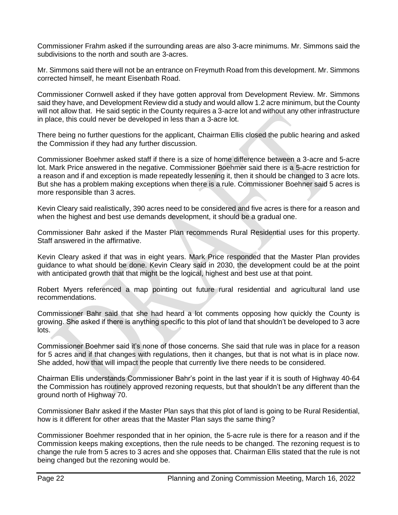Commissioner Frahm asked if the surrounding areas are also 3-acre minimums. Mr. Simmons said the subdivisions to the north and south are 3-acres.

Mr. Simmons said there will not be an entrance on Freymuth Road from this development. Mr. Simmons corrected himself, he meant Eisenbath Road.

Commissioner Cornwell asked if they have gotten approval from Development Review. Mr. Simmons said they have, and Development Review did a study and would allow 1.2 acre minimum, but the County will not allow that. He said septic in the County requires a 3-acre lot and without any other infrastructure in place, this could never be developed in less than a 3-acre lot.

There being no further questions for the applicant, Chairman Ellis closed the public hearing and asked the Commission if they had any further discussion.

Commissioner Boehmer asked staff if there is a size of home difference between a 3-acre and 5-acre lot. Mark Price answered in the negative. Commissioner Boehmer said there is a 5-acre restriction for a reason and if and exception is made repeatedly lessening it, then it should be changed to 3 acre lots. But she has a problem making exceptions when there is a rule. Commissioner Boehner said 5 acres is more responsible than 3 acres.

Kevin Cleary said realistically, 390 acres need to be considered and five acres is there for a reason and when the highest and best use demands development, it should be a gradual one.

Commissioner Bahr asked if the Master Plan recommends Rural Residential uses for this property. Staff answered in the affirmative.

Kevin Cleary asked if that was in eight years. Mark Price responded that the Master Plan provides guidance to what should be done. Kevin Cleary said in 2030, the development could be at the point with anticipated growth that that might be the logical, highest and best use at that point.

Robert Myers referenced a map pointing out future rural residential and agricultural land use recommendations.

Commissioner Bahr said that she had heard a lot comments opposing how quickly the County is growing. She asked if there is anything specific to this plot of land that shouldn't be developed to 3 acre lots.

Commissioner Boehmer said it's none of those concerns. She said that rule was in place for a reason for 5 acres and if that changes with regulations, then it changes, but that is not what is in place now. She added, how that will impact the people that currently live there needs to be considered.

Chairman Ellis understands Commissioner Bahr's point in the last year if it is south of Highway 40-64 the Commission has routinely approved rezoning requests, but that shouldn't be any different than the ground north of Highway 70.

Commissioner Bahr asked if the Master Plan says that this plot of land is going to be Rural Residential, how is it different for other areas that the Master Plan says the same thing?

Commissioner Boehmer responded that in her opinion, the 5-acre rule is there for a reason and if the Commission keeps making exceptions, then the rule needs to be changed. The rezoning request is to change the rule from 5 acres to 3 acres and she opposes that. Chairman Ellis stated that the rule is not being changed but the rezoning would be.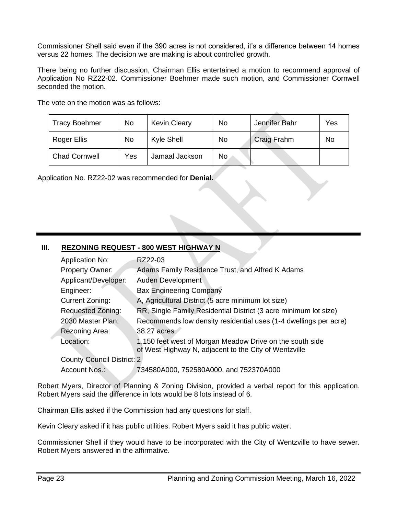Commissioner Shell said even if the 390 acres is not considered, it's a difference between 14 homes versus 22 homes. The decision we are making is about controlled growth.

There being no further discussion, Chairman Ellis entertained a motion to recommend approval of Application No RZ22-02. Commissioner Boehmer made such motion, and Commissioner Cornwell seconded the motion.

| The vote on the motion was as follows: |  |
|----------------------------------------|--|
|----------------------------------------|--|

| <b>Tracy Boehmer</b> | No  | <b>Kevin Cleary</b> | No | Jennifer Bahr | Yes |
|----------------------|-----|---------------------|----|---------------|-----|
| Roger Ellis          | No  | Kyle Shell          | No | Craig Frahm   | No  |
| <b>Chad Cornwell</b> | Yes | Jamaal Jackson      | No |               |     |

Application No. RZ22-02 was recommended for **Denial.**

# **III.** REZONING REQUEST - 800 WEST HIGHWAY N

| <b>Application No:</b>            | RZ22-03                                                                                                           |
|-----------------------------------|-------------------------------------------------------------------------------------------------------------------|
| <b>Property Owner:</b>            | Adams Family Residence Trust, and Alfred K Adams                                                                  |
| Applicant/Developer:              | Auden Development                                                                                                 |
| Engineer:                         | <b>Bax Engineering Company</b>                                                                                    |
| Current Zoning:                   | A, Agricultural District (5 acre minimum lot size)                                                                |
| <b>Requested Zoning:</b>          | RR, Single Family Residential District (3 acre minimum lot size)                                                  |
| 2030 Master Plan:                 | Recommends low density residential uses (1-4 dwellings per acre)                                                  |
| Rezoning Area:                    | 38.27 acres                                                                                                       |
| Location:                         | 1,150 feet west of Morgan Meadow Drive on the south side<br>of West Highway N, adjacent to the City of Wentzville |
| <b>County Council District: 2</b> |                                                                                                                   |
| Account Nos.:                     | 734580A000, 752580A000, and 752370A000                                                                            |

Robert Myers, Director of Planning & Zoning Division, provided a verbal report for this application. Robert Myers said the difference in lots would be 8 lots instead of 6.

Chairman Ellis asked if the Commission had any questions for staff.

Kevin Cleary asked if it has public utilities. Robert Myers said it has public water.

Commissioner Shell if they would have to be incorporated with the City of Wentzville to have sewer. Robert Myers answered in the affirmative.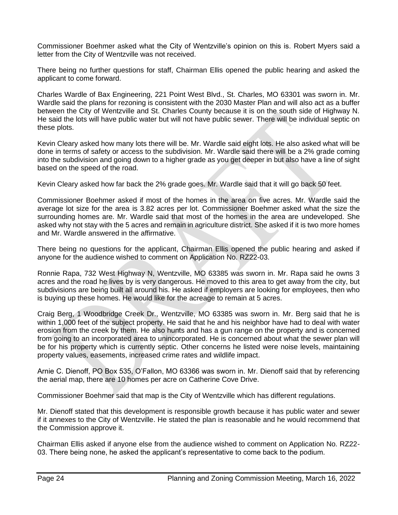Commissioner Boehmer asked what the City of Wentzville's opinion on this is. Robert Myers said a letter from the City of Wentzville was not received.

There being no further questions for staff, Chairman Ellis opened the public hearing and asked the applicant to come forward.

Charles Wardle of Bax Engineering, 221 Point West Blvd., St. Charles, MO 63301 was sworn in. Mr. Wardle said the plans for rezoning is consistent with the 2030 Master Plan and will also act as a buffer between the City of Wentzville and St. Charles County because it is on the south side of Highway N. He said the lots will have public water but will not have public sewer. There will be individual septic on these plots.

Kevin Cleary asked how many lots there will be. Mr. Wardle said eight lots. He also asked what will be done in terms of safety or access to the subdivision. Mr. Wardle said there will be a 2% grade coming into the subdivision and going down to a higher grade as you get deeper in but also have a line of sight based on the speed of the road.

Kevin Cleary asked how far back the 2% grade goes. Mr. Wardle said that it will go back 50 feet.

Commissioner Boehmer asked if most of the homes in the area on five acres. Mr. Wardle said the average lot size for the area is 3.82 acres per lot. Commissioner Boehmer asked what the size the surrounding homes are. Mr. Wardle said that most of the homes in the area are undeveloped. She asked why not stay with the 5 acres and remain in agriculture district. She asked if it is two more homes and Mr. Wardle answered in the affirmative.

There being no questions for the applicant, Chairman Ellis opened the public hearing and asked if anyone for the audience wished to comment on Application No. RZ22-03.

Ronnie Rapa, 732 West Highway N, Wentzville, MO 63385 was sworn in. Mr. Rapa said he owns 3 acres and the road he lives by is very dangerous. He moved to this area to get away from the city, but subdivisions are being built all around his. He asked if employers are looking for employees, then who is buying up these homes. He would like for the acreage to remain at 5 acres.

Craig Berg, 1 Woodbridge Creek Dr., Wentzville, MO 63385 was sworn in. Mr. Berg said that he is within 1,000 feet of the subject property. He said that he and his neighbor have had to deal with water erosion from the creek by them. He also hunts and has a gun range on the property and is concerned from going to an incorporated area to unincorporated. He is concerned about what the sewer plan will be for his property which is currently septic. Other concerns he listed were noise levels, maintaining property values, easements, increased crime rates and wildlife impact.

Arnie C. Dienoff, PO Box 535, O'Fallon, MO 63366 was sworn in. Mr. Dienoff said that by referencing the aerial map, there are 10 homes per acre on Catherine Cove Drive.

Commissioner Boehmer said that map is the City of Wentzville which has different regulations.

Mr. Dienoff stated that this development is responsible growth because it has public water and sewer if it annexes to the City of Wentzville. He stated the plan is reasonable and he would recommend that the Commission approve it.

Chairman Ellis asked if anyone else from the audience wished to comment on Application No. RZ22- 03. There being none, he asked the applicant's representative to come back to the podium.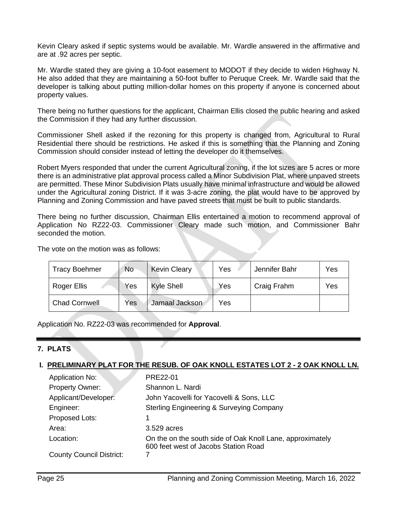Kevin Cleary asked if septic systems would be available. Mr. Wardle answered in the affirmative and are at .92 acres per septic.

Mr. Wardle stated they are giving a 10-foot easement to MODOT if they decide to widen Highway N. He also added that they are maintaining a 50-foot buffer to Peruque Creek. Mr. Wardle said that the developer is talking about putting million-dollar homes on this property if anyone is concerned about property values.

There being no further questions for the applicant, Chairman Ellis closed the public hearing and asked the Commission if they had any further discussion.

Commissioner Shell asked if the rezoning for this property is changed from, Agricultural to Rural Residential there should be restrictions. He asked if this is something that the Planning and Zoning Commission should consider instead of letting the developer do it themselves.

Robert Myers responded that under the current Agricultural zoning, if the lot sizes are 5 acres or more there is an administrative plat approval process called a Minor Subdivision Plat, where unpaved streets are permitted. These Minor Subdivision Plats usually have minimal infrastructure and would be allowed under the Agricultural zoning District. If it was 3-acre zoning, the plat would have to be approved by Planning and Zoning Commission and have paved streets that must be built to public standards.

There being no further discussion, Chairman Ellis entertained a motion to recommend approval of Application No RZ22-03. Commissioner Cleary made such motion, and Commissioner Bahr seconded the motion.

The vote on the motion was as follows:

| <b>Tracy Boehmer</b> | No  | <b>Kevin Cleary</b> | Yes | Jennifer Bahr | Yes |
|----------------------|-----|---------------------|-----|---------------|-----|
| Roger Ellis          | Yes | <b>Kyle Shell</b>   | Yes | Craig Frahm   | Yes |
| <b>Chad Cornwell</b> | Yes | Jamaal Jackson      | Yes |               |     |

Application No. RZ22-03 was recommended for **Approval**.

# **7. PLATS**

### **I. PRELIMINARY PLAT FOR THE RESUB. OF OAK KNOLL ESTATES LOT 2 - 2 OAK KNOLL LN.**

| <b>Application No:</b>          | PRE22-01                                                                                          |
|---------------------------------|---------------------------------------------------------------------------------------------------|
| <b>Property Owner:</b>          | Shannon L. Nardi                                                                                  |
| Applicant/Developer:            | John Yacovelli for Yacovelli & Sons, LLC                                                          |
| Engineer:                       | Sterling Engineering & Surveying Company                                                          |
| Proposed Lots:                  | 1                                                                                                 |
| Area:                           | 3.529 acres                                                                                       |
| Location:                       | On the on the south side of Oak Knoll Lane, approximately<br>600 feet west of Jacobs Station Road |
| <b>County Council District:</b> |                                                                                                   |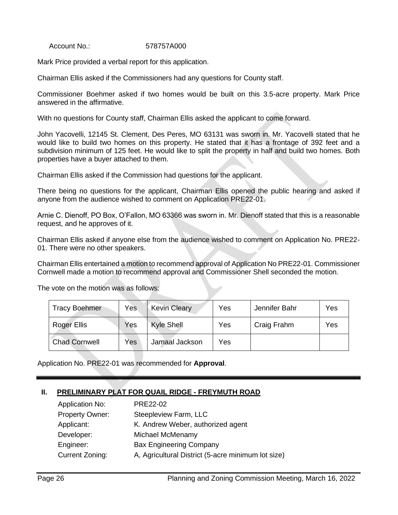Account No.: 578757A000

Mark Price provided a verbal report for this application.

Chairman Ellis asked if the Commissioners had any questions for County staff.

Commissioner Boehmer asked if two homes would be built on this 3.5-acre property. Mark Price answered in the affirmative.

With no questions for County staff, Chairman Ellis asked the applicant to come forward.

John Yacovelli, 12145 St. Clement, Des Peres, MO 63131 was sworn in. Mr. Yacovelli stated that he would like to build two homes on this property. He stated that it has a frontage of 392 feet and a subdivision minimum of 125 feet. He would like to split the property in half and build two homes. Both properties have a buyer attached to them.

Chairman Ellis asked if the Commission had questions for the applicant.

There being no questions for the applicant, Chairman Ellis opened the public hearing and asked if anyone from the audience wished to comment on Application PRE22-01.

Arnie C. Dienoff, PO Box, O'Fallon, MO 63366 was sworn in. Mr. Dienoff stated that this is a reasonable request, and he approves of it.

Chairman Ellis asked if anyone else from the audience wished to comment on Application No. PRE22- 01. There were no other speakers.

Chairman Ellis entertained a motion to recommend approval of Application No PRE22-01. Commissioner Cornwell made a motion to recommend approval and Commissioner Shell seconded the motion.

The vote on the motion was as follows:

| <b>Tracy Boehmer</b> | Yes | <b>Kevin Cleary</b> | Yes | Jennifer Bahr | Yes |
|----------------------|-----|---------------------|-----|---------------|-----|
| Roger Ellis          | Yes | <b>Kyle Shell</b>   | Yes | Craig Frahm   | Yes |
| <b>Chad Cornwell</b> | Yes | Jamaal Jackson      | Yes |               |     |

Application No. PRE22-01 was recommended for **Approval**.

### **II. PRELIMINARY PLAT FOR QUAIL RIDGE - FREYMUTH ROAD**

| <b>Application No:</b> | PRE22-02                                           |
|------------------------|----------------------------------------------------|
| <b>Property Owner:</b> | Steepleview Farm, LLC                              |
| Applicant:             | K. Andrew Weber, authorized agent                  |
| Developer:             | Michael McMenamy                                   |
| Engineer:              | <b>Bax Engineering Company</b>                     |
| <b>Current Zoning:</b> | A, Agricultural District (5-acre minimum lot size) |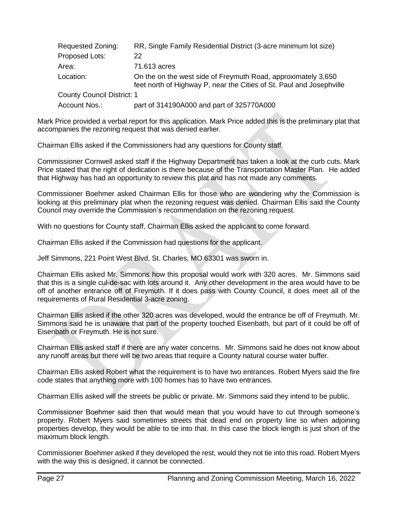| Requested Zoning:                 | RR, Single Family Residential District (3-acre minimum lot size)                                                                      |
|-----------------------------------|---------------------------------------------------------------------------------------------------------------------------------------|
| Proposed Lots:                    | 22                                                                                                                                    |
| Area:                             | 71.613 acres                                                                                                                          |
| Location:                         | On the on the west side of Freymuth Road, approximately 3,650<br>feet north of Highway P, near the Cities of St. Paul and Josephville |
| <b>County Council District: 1</b> |                                                                                                                                       |
| Account Nos.:                     | part of 314190A000 and part of 325770A000                                                                                             |

Mark Price provided a verbal report for this application. Mark Price added this is the preliminary plat that accompanies the rezoning request that was denied earlier.

Chairman Ellis asked if the Commissioners had any questions for County staff.

Commissioner Cornwell asked staff if the Highway Department has taken a look at the curb cuts. Mark Price stated that the right of dedication is there because of the Transportation Master Plan. He added that Highway has had an opportunity to review this plat and has not made any comments.

Commissioner Boehmer asked Chairman Ellis for those who are wondering why the Commission is looking at this preliminary plat when the rezoning request was denied. Chairman Ellis said the County Council may override the Commission's recommendation on the rezoning request.

With no questions for County staff, Chairman Ellis asked the applicant to come forward.

Chairman Ellis asked if the Commission had questions for the applicant.

Jeff Simmons, 221 Point West Blvd, St. Charles, MO 63301 was sworn in.

Chairman Ellis asked Mr. Simmons how this proposal would work with 320 acres. Mr. Simmons said that this is a single cul-de-sac with lots around it. Any other development in the area would have to be off of another entrance off of Freymuth. If it does pass with County Council, it does meet all of the requirements of Rural Residential 3-acre zoning.

Chairman Ellis asked if the other 320 acres was developed, would the entrance be off of Freymuth. Mr. Simmons said he is unaware that part of the property touched Eisenbath, but part of it could be off of Eisenbath or Freymuth. He is not sure.

Chairman Ellis asked staff if there are any water concerns. Mr. Simmons said he does not know about any runoff areas but there will be two areas that require a County natural course water buffer.

Chairman Ellis asked Robert what the requirement is to have two entrances. Robert Myers said the fire code states that anything more with 100 homes has to have two entrances.

Chairman Ellis asked will the streets be public or private. Mr. Simmons said they intend to be public.

Commissioner Boehmer said then that would mean that you would have to cut through someone's property. Robert Myers said sometimes streets that dead end on property line so when adjoining properties develop, they would be able to tie into that. In this case the block length is just short of the maximum block length.

Commissioner Boehmer asked if they developed the rest, would they not tie into this road. Robert Myers with the way this is designed, it cannot be connected.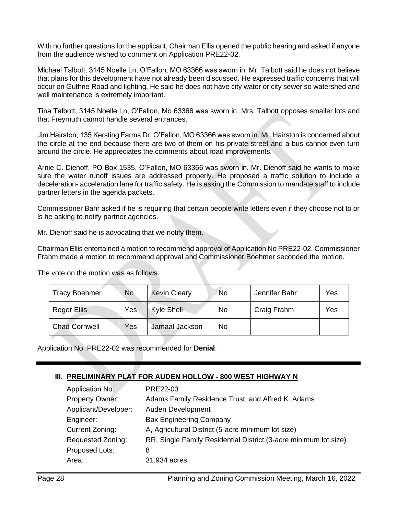With no further questions for the applicant, Chairman Ellis opened the public hearing and asked if anyone from the audience wished to comment on Application PRE22-02.

Michael Talbott, 3145 Noelle Ln, O'Fallon, MO 63366 was sworn in. Mr. Talbott said he does not believe that plans for this development have not already been discussed. He expressed traffic concerns that will occur on Guthrie Road and lighting. He said he does not have city water or city sewer so watershed and well maintenance is extremely important.

Tina Talbott, 3145 Noelle Ln, O'Fallon, Mo 63366 was sworn in. Mrs. Talbott opposes smaller lots and that Freymuth cannot handle several entrances.

Jim Hairston, 135 Kersting Farms Dr. O'Fallon, MO 63366 was sworn in. Mr. Hairston is concerned about the circle at the end because there are two of them on his private street and a bus cannot even turn around the circle. He appreciates the comments about road improvements.

Arnie C. Dienoff, PO Box 1535, O'Fallon, MO 63366 was sworn in. Mr. Dienoff said he wants to make sure the water runoff issues are addressed properly. He proposed a traffic solution to include a deceleration- acceleration lane for traffic safety. He is asking the Commission to mandate staff to include partner letters in the agenda packets.

Commissioner Bahr asked if he is requiring that certain people write letters even if they choose not to or is he asking to notify partner agencies.

Mr. Dienoff said he is advocating that we notify them.

Chairman Ellis entertained a motion to recommend approval of Application No PRE22-02. Commissioner Frahm made a motion to recommend approval and Commissioner Boehmer seconded the motion.

The vote on the motion was as follows:

| <b>Tracy Boehmer</b> | <b>No</b> | <b>Kevin Cleary</b> | No | Jennifer Bahr | Yes |
|----------------------|-----------|---------------------|----|---------------|-----|
| Roger Ellis          | Yes       | Kyle Shell          | No | Craig Frahm   | Yes |
| <b>Chad Cornwell</b> | Yes       | Jamaal Jackson      | No |               |     |

Application No. PRE22-02 was recommended for **Denial**.

# **III. PRELIMINARY PLAT FOR AUDEN HOLLOW - 800 WEST HIGHWAY N**

| Application No:          | PRE22-03                                                         |
|--------------------------|------------------------------------------------------------------|
| <b>Property Owner:</b>   | Adams Family Residence Trust, and Alfred K. Adams                |
| Applicant/Developer:     | Auden Development                                                |
| Engineer:                | <b>Bax Engineering Company</b>                                   |
| Current Zoning:          | A, Agricultural District (5-acre minimum lot size)               |
| <b>Requested Zoning:</b> | RR, Single Family Residential District (3-acre minimum lot size) |
| Proposed Lots:           | 8                                                                |
| Area:                    | 31.934 acres                                                     |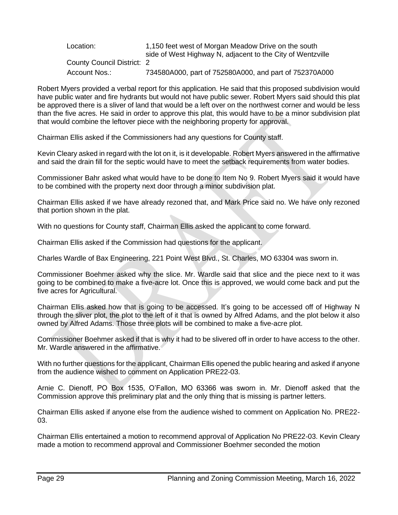| Location:                         | 1,150 feet west of Morgan Meadow Drive on the south        |
|-----------------------------------|------------------------------------------------------------|
|                                   | side of West Highway N, adjacent to the City of Wentzville |
| <b>County Council District: 2</b> |                                                            |
| Account Nos.:                     | 734580A000, part of 752580A000, and part of 752370A000     |

Robert Myers provided a verbal report for this application. He said that this proposed subdivision would have public water and fire hydrants but would not have public sewer. Robert Myers said should this plat be approved there is a sliver of land that would be a left over on the northwest corner and would be less than the five acres. He said in order to approve this plat, this would have to be a minor subdivision plat that would combine the leftover piece with the neighboring property for approval.

Chairman Ellis asked if the Commissioners had any questions for County staff.

Kevin Cleary asked in regard with the lot on it, is it developable. Robert Myers answered in the affirmative and said the drain fill for the septic would have to meet the setback requirements from water bodies.

Commissioner Bahr asked what would have to be done to Item No 9. Robert Myers said it would have to be combined with the property next door through a minor subdivision plat.

Chairman Ellis asked if we have already rezoned that, and Mark Price said no. We have only rezoned that portion shown in the plat.

With no questions for County staff, Chairman Ellis asked the applicant to come forward.

Chairman Ellis asked if the Commission had questions for the applicant.

Charles Wardle of Bax Engineering, 221 Point West Blvd., St. Charles, MO 63304 was sworn in.

Commissioner Boehmer asked why the slice. Mr. Wardle said that slice and the piece next to it was going to be combined to make a five-acre lot. Once this is approved, we would come back and put the five acres for Agricultural.

Chairman Ellis asked how that is going to be accessed. It's going to be accessed off of Highway N through the sliver plot, the plot to the left of it that is owned by Alfred Adams, and the plot below it also owned by Alfred Adams. Those three plots will be combined to make a five-acre plot.

Commissioner Boehmer asked if that is why it had to be slivered off in order to have access to the other. Mr. Wardle answered in the affirmative.

With no further questions for the applicant, Chairman Ellis opened the public hearing and asked if anyone from the audience wished to comment on Application PRE22-03.

Arnie C. Dienoff, PO Box 1535, O'Fallon, MO 63366 was sworn in. Mr. Dienoff asked that the Commission approve this preliminary plat and the only thing that is missing is partner letters.

Chairman Ellis asked if anyone else from the audience wished to comment on Application No. PRE22- 03.

Chairman Ellis entertained a motion to recommend approval of Application No PRE22-03. Kevin Cleary made a motion to recommend approval and Commissioner Boehmer seconded the motion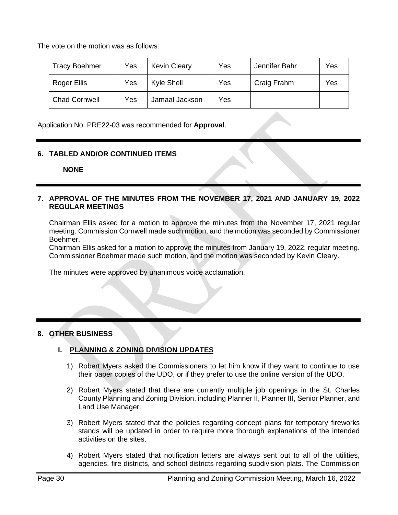The vote on the motion was as follows:

| <b>Tracy Boehmer</b> | Yes | <b>Kevin Cleary</b> | Yes | Jennifer Bahr | Yes |
|----------------------|-----|---------------------|-----|---------------|-----|
| Roger Ellis          | Yes | Kyle Shell          | Yes | Craig Frahm   | Yes |
| <b>Chad Cornwell</b> | Yes | Jamaal Jackson      | Yes |               |     |

Application No. PRE22-03 was recommended for **Approval**.

# **6. TABLED AND/OR CONTINUED ITEMS**

 **NONE**

**7. APPROVAL OF THE MINUTES FROM THE NOVEMBER 17, 2021 AND JANUARY 19, 2022 REGULAR MEETINGS**

Chairman Ellis asked for a motion to approve the minutes from the November 17, 2021 regular meeting. Commission Cornwell made such motion, and the motion was seconded by Commissioner Boehmer.

Chairman Ellis asked for a motion to approve the minutes from January 19, 2022, regular meeting. Commissioner Boehmer made such motion, and the motion was seconded by Kevin Cleary.

The minutes were approved by unanimous voice acclamation.

# **8. OTHER BUSINESS**

# **I. PLANNING & ZONING DIVISION UPDATES**

- 1) Robert Myers asked the Commissioners to let him know if they want to continue to use their paper copies of the UDO, or if they prefer to use the online version of the UDO.
- 2) Robert Myers stated that there are currently multiple job openings in the St. Charles County Planning and Zoning Division, including Planner II, Planner III, Senior Planner, and Land Use Manager.
- 3) Robert Myers stated that the policies regarding concept plans for temporary fireworks stands will be updated in order to require more thorough explanations of the intended activities on the sites.
- 4) Robert Myers stated that notification letters are always sent out to all of the utilities, agencies, fire districts, and school districts regarding subdivision plats. The Commission